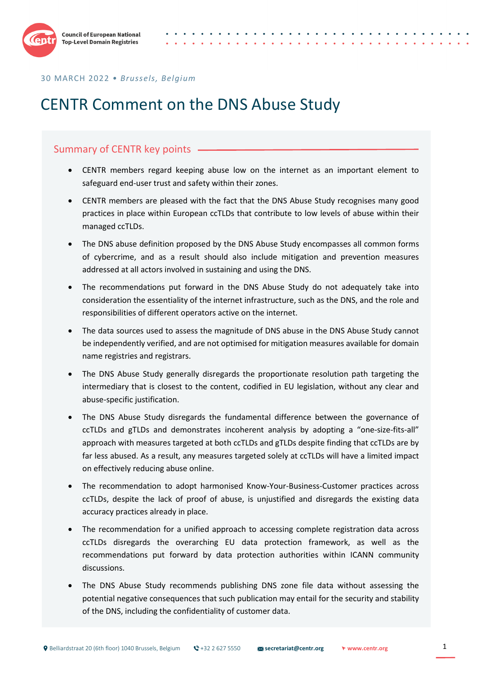

# CENTR Comment on the DNS Abuse Study

#### Summary of CENTR key points .

- CENTR members regard keeping abuse low on the internet as an important element to safeguard end-user trust and safety within their zones.
- CENTR members are pleased with the fact that the DNS Abuse Study recognises many good practices in place within European ccTLDs that contribute to low levels of abuse within their managed ccTLDs.
- The DNS abuse definition proposed by the DNS Abuse Study encompasses all common forms of cybercrime, and as a result should also include mitigation and prevention measures addressed at all actors involved in sustaining and using the DNS.
- The recommendations put forward in the DNS Abuse Study do not adequately take into consideration the essentiality of the internet infrastructure, such as the DNS, and the role and responsibilities of different operators active on the internet.
- The data sources used to assess the magnitude of DNS abuse in the DNS Abuse Study cannot be independently verified, and are not optimised for mitigation measures available for domain name registries and registrars.
- The DNS Abuse Study generally disregards the proportionate resolution path targeting the intermediary that is closest to the content, codified in EU legislation, without any clear and abuse-specific justification.
- The DNS Abuse Study disregards the fundamental difference between the governance of ccTLDs and gTLDs and demonstrates incoherent analysis by adopting a "one-size-fits-all" approach with measures targeted at both ccTLDs and gTLDs despite finding that ccTLDs are by far less abused. As a result, any measures targeted solely at ccTLDs will have a limited impact on effectively reducing abuse online.
- The recommendation to adopt harmonised Know-Your-Business-Customer practices across ccTLDs, despite the lack of proof of abuse, is unjustified and disregards the existing data accuracy practices already in place.
- The recommendation for a unified approach to accessing complete registration data across ccTLDs disregards the overarching EU data protection framework, as well as the recommendations put forward by data protection authorities within ICANN community discussions.
- The DNS Abuse Study recommends publishing DNS zone file data without assessing the potential negative consequences that such publication may entail for the security and stability of the DNS, including the confidentiality of customer data.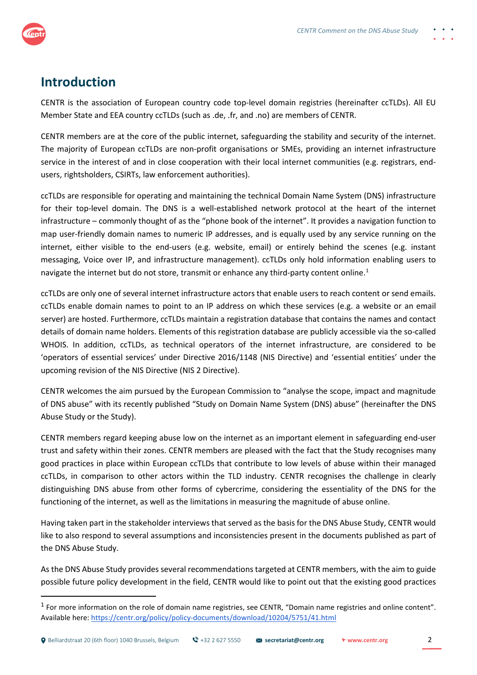

## **Introduction**

CENTR is the association of European country code top-level domain registries (hereinafter ccTLDs). All EU Member State and EEA country ccTLDs (such as .de, .fr, and .no) are members of CENTR.

CENTR members are at the core of the public internet, safeguarding the stability and security of the internet. The majority of European ccTLDs are non-profit organisations or SMEs, providing an internet infrastructure service in the interest of and in close cooperation with their local internet communities (e.g. registrars, endusers, rightsholders, CSIRTs, law enforcement authorities).

ccTLDs are responsible for operating and maintaining the technical Domain Name System (DNS) infrastructure for their top-level domain. The DNS is a well-established network protocol at the heart of the internet infrastructure – commonly thought of as the "phone book of the internet". It provides a navigation function to map user-friendly domain names to numeric IP addresses, and is equally used by any service running on the internet, either visible to the end-users (e.g. website, email) or entirely behind the scenes (e.g. instant messaging, Voice over IP, and infrastructure management). ccTLDs only hold information enabling users to navigate the internet but do not store, transmit or enhance any third-party content online.<sup>[1](#page-1-0)</sup>

ccTLDs are only one of several internet infrastructure actors that enable users to reach content or send emails. ccTLDs enable domain names to point to an IP address on which these services (e.g. a website or an email server) are hosted. Furthermore, ccTLDs maintain a registration database that contains the names and contact details of domain name holders. Elements of this registration database are publicly accessible via the so-called WHOIS. In addition, ccTLDs, as technical operators of the internet infrastructure, are considered to be 'operators of essential services' under Directive 2016/1148 (NIS Directive) and 'essential entities' under the upcoming revision of the NIS Directive (NIS 2 Directive).

CENTR welcomes the aim pursued by the European Commission to "analyse the scope, impact and magnitude of DNS abuse" with its recently published "Study on Domain Name System (DNS) abuse" (hereinafter the DNS Abuse Study or the Study).

CENTR members regard keeping abuse low on the internet as an important element in safeguarding end-user trust and safety within their zones. CENTR members are pleased with the fact that the Study recognises many good practices in place within European ccTLDs that contribute to low levels of abuse within their managed ccTLDs, in comparison to other actors within the TLD industry. CENTR recognises the challenge in clearly distinguishing DNS abuse from other forms of cybercrime, considering the essentiality of the DNS for the functioning of the internet, as well as the limitations in measuring the magnitude of abuse online.

Having taken part in the stakeholder interviews that served as the basis for the DNS Abuse Study, CENTR would like to also respond to several assumptions and inconsistencies present in the documents published as part of the DNS Abuse Study.

As the DNS Abuse Study provides several recommendations targeted at CENTR members, with the aim to guide possible future policy development in the field, CENTR would like to point out that the existing good practices

<span id="page-1-0"></span> $<sup>1</sup>$  For more information on the role of domain name registries, see CENTR, "Domain name registries and online content".</sup> Available here:<https://centr.org/policy/policy-documents/download/10204/5751/41.html>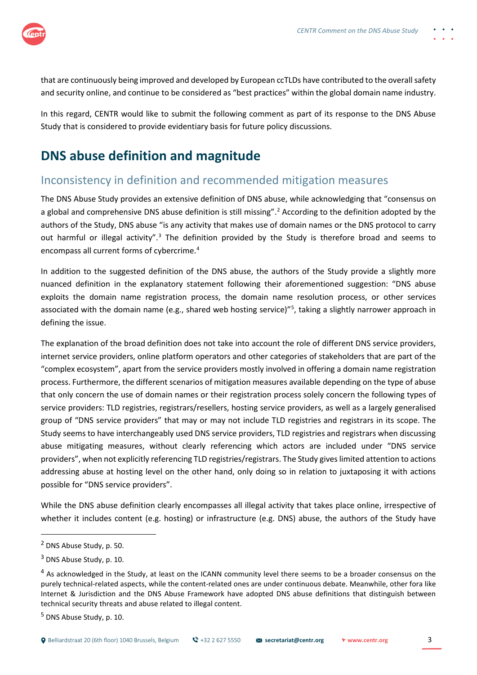that are continuously being improved and developed by European ccTLDs have contributed to the overall safety and security online, and continue to be considered as "best practices" within the global domain name industry.

In this regard, CENTR would like to submit the following comment as part of its response to the DNS Abuse Study that is considered to provide evidentiary basis for future policy discussions.

# **DNS abuse definition and magnitude**

#### Inconsistency in definition and recommended mitigation measures

The DNS Abuse Study provides an extensive definition of DNS abuse, while acknowledging that "consensus on a global and comprehensive DNS abuse definition is still missing".<sup>[2](#page-2-0)</sup> According to the definition adopted by the authors of the Study, DNS abuse "is any activity that makes use of domain names or the DNS protocol to carry out harmful or illegal activity".<sup>[3](#page-2-1)</sup> The definition provided by the Study is therefore broad and seems to encompass all current forms of cybercrime.[4](#page-2-2)

In addition to the suggested definition of the DNS abuse, the authors of the Study provide a slightly more nuanced definition in the explanatory statement following their aforementioned suggestion: "DNS abuse exploits the domain name registration process, the domain name resolution process, or other services associated with the domain name (e.g., shared web hosting service)"<sup>[5](#page-2-3)</sup>, taking a slightly narrower approach in defining the issue.

The explanation of the broad definition does not take into account the role of different DNS service providers, internet service providers, online platform operators and other categories of stakeholders that are part of the "complex ecosystem", apart from the service providers mostly involved in offering a domain name registration process. Furthermore, the different scenarios of mitigation measures available depending on the type of abuse that only concern the use of domain names or their registration process solely concern the following types of service providers: TLD registries, registrars/resellers, hosting service providers, as well as a largely generalised group of "DNS service providers" that may or may not include TLD registries and registrars in its scope. The Study seems to have interchangeably used DNS service providers, TLD registries and registrars when discussing abuse mitigating measures, without clearly referencing which actors are included under "DNS service providers", when not explicitly referencing TLD registries/registrars. The Study gives limited attention to actions addressing abuse at hosting level on the other hand, only doing so in relation to juxtaposing it with actions possible for "DNS service providers".

While the DNS abuse definition clearly encompasses all illegal activity that takes place online, irrespective of whether it includes content (e.g. hosting) or infrastructure (e.g. DNS) abuse, the authors of the Study have

<span id="page-2-0"></span><sup>2</sup> DNS Abuse Study, p. 50.

<span id="page-2-1"></span><sup>3</sup> DNS Abuse Study, p. 10.

<span id="page-2-2"></span><sup>&</sup>lt;sup>4</sup> As acknowledged in the Study, at least on the ICANN community level there seems to be a broader consensus on the purely technical-related aspects, while the content-related ones are under continuous debate. Meanwhile, other fora like Internet & Jurisdiction and the DNS Abuse Framework have adopted DNS abuse definitions that distinguish between technical security threats and abuse related to illegal content.

<span id="page-2-3"></span><sup>5</sup> DNS Abuse Study, p. 10.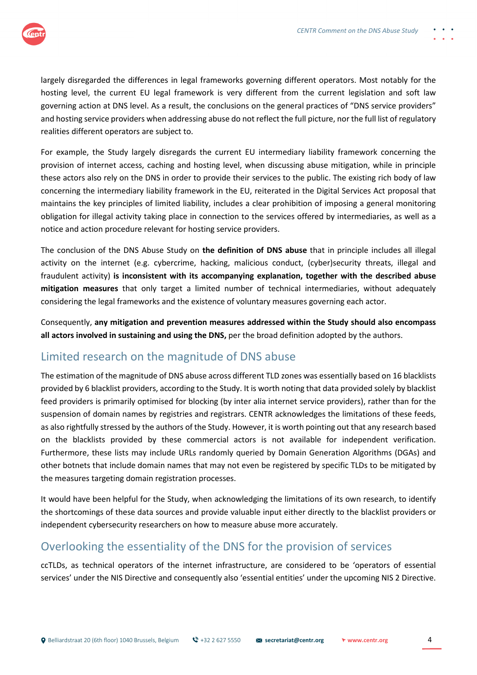

largely disregarded the differences in legal frameworks governing different operators. Most notably for the hosting level, the current EU legal framework is very different from the current legislation and soft law governing action at DNS level. As a result, the conclusions on the general practices of "DNS service providers" and hosting service providers when addressing abuse do not reflect the full picture, nor the full list of regulatory realities different operators are subject to.

For example, the Study largely disregards the current EU intermediary liability framework concerning the provision of internet access, caching and hosting level, when discussing abuse mitigation, while in principle these actors also rely on the DNS in order to provide their services to the public. The existing rich body of law concerning the intermediary liability framework in the EU, reiterated in the Digital Services Act proposal that maintains the key principles of limited liability, includes a clear prohibition of imposing a general monitoring obligation for illegal activity taking place in connection to the services offered by intermediaries, as well as a notice and action procedure relevant for hosting service providers.

The conclusion of the DNS Abuse Study on **the definition of DNS abuse** that in principle includes all illegal activity on the internet (e.g. cybercrime, hacking, malicious conduct, (cyber)security threats, illegal and fraudulent activity) **is inconsistent with its accompanying explanation, together with the described abuse mitigation measures** that only target a limited number of technical intermediaries, without adequately considering the legal frameworks and the existence of voluntary measures governing each actor.

Consequently, **any mitigation and prevention measures addressed within the Study should also encompass all actors involved in sustaining and using the DNS,** per the broad definition adopted by the authors.

#### Limited research on the magnitude of DNS abuse

The estimation of the magnitude of DNS abuse across different TLD zones was essentially based on 16 blacklists provided by 6 blacklist providers, according to the Study. It is worth noting that data provided solely by blacklist feed providers is primarily optimised for blocking (by inter alia internet service providers), rather than for the suspension of domain names by registries and registrars. CENTR acknowledges the limitations of these feeds, as also rightfully stressed by the authors of the Study. However, it is worth pointing out that any research based on the blacklists provided by these commercial actors is not available for independent verification. Furthermore, these lists may include URLs randomly queried by Domain Generation Algorithms (DGAs) and other botnets that include domain names that may not even be registered by specific TLDs to be mitigated by the measures targeting domain registration processes.

It would have been helpful for the Study, when acknowledging the limitations of its own research, to identify the shortcomings of these data sources and provide valuable input either directly to the blacklist providers or independent cybersecurity researchers on how to measure abuse more accurately.

#### Overlooking the essentiality of the DNS for the provision of services

ccTLDs, as technical operators of the internet infrastructure, are considered to be 'operators of essential services' under the NIS Directive and consequently also 'essential entities' under the upcoming NIS 2 Directive.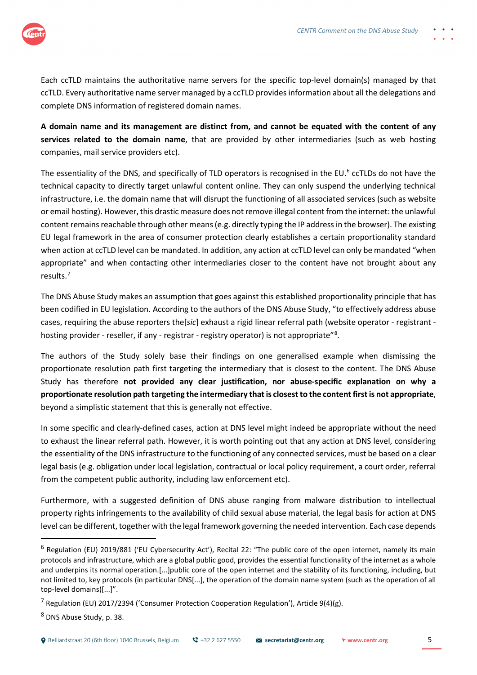

Each ccTLD maintains the authoritative name servers for the specific top-level domain(s) managed by that ccTLD. Every authoritative name server managed by a ccTLD provides information about all the delegations and complete DNS information of registered domain names.

**A domain name and its management are distinct from, and cannot be equated with the content of any services related to the domain name**, that are provided by other intermediaries (such as web hosting companies, mail service providers etc).

The essentiality of the DNS, and specifically of TLD operators is recognised in the EU.<sup>[6](#page-4-0)</sup> ccTLDs do not have the technical capacity to directly target unlawful content online. They can only suspend the underlying technical infrastructure, i.e. the domain name that will disrupt the functioning of all associated services (such as website or email hosting). However, this drastic measure does not remove illegal content from the internet: the unlawful content remains reachable through other means (e.g. directly typing the IP address in the browser). The existing EU legal framework in the area of consumer protection clearly establishes a certain proportionality standard when action at ccTLD level can be mandated. In addition, any action at ccTLD level can only be mandated "when appropriate" and when contacting other intermediaries closer to the content have not brought about any results.[7](#page-4-1)

The DNS Abuse Study makes an assumption that goes against this established proportionality principle that has been codified in EU legislation. According to the authors of the DNS Abuse Study, "to effectively address abuse cases, requiring the abuse reporters the[*sic*] exhaust a rigid linear referral path (website operator - registrant - hosting provider - reseller, if any - registrar - registry operator) is not appropriate"<sup>[8](#page-4-2)</sup>.

The authors of the Study solely base their findings on one generalised example when dismissing the proportionate resolution path first targeting the intermediary that is closest to the content. The DNS Abuse Study has therefore **not provided any clear justification, nor abuse-specific explanation on why a proportionate resolution path targeting the intermediary that is closest to the content first is not appropriate**, beyond a simplistic statement that this is generally not effective.

In some specific and clearly-defined cases, action at DNS level might indeed be appropriate without the need to exhaust the linear referral path. However, it is worth pointing out that any action at DNS level, considering the essentiality of the DNS infrastructure to the functioning of any connected services, must be based on a clear legal basis (e.g. obligation under local legislation, contractual or local policy requirement, a court order, referral from the competent public authority, including law enforcement etc).

Furthermore, with a suggested definition of DNS abuse ranging from malware distribution to intellectual property rights infringements to the availability of child sexual abuse material, the legal basis for action at DNS level can be different, together with the legal framework governing the needed intervention. Each case depends

<span id="page-4-0"></span><sup>6</sup> Regulation (EU) 2019/881 ('EU Cybersecurity Act'), Recital 22: "The public core of the open internet, namely its main protocols and infrastructure, which are a global public good, provides the essential functionality of the internet as a whole and underpins its normal operation.[...]public core of the open internet and the stability of its functioning, including, but not limited to, key protocols (in particular DNS[...], the operation of the domain name system (such as the operation of all top-level domains)[...]".

<span id="page-4-1"></span><sup>&</sup>lt;sup>7</sup> Regulation (EU) 2017/2394 ('Consumer Protection Cooperation Regulation'), Article 9(4)(g).

<span id="page-4-2"></span><sup>8</sup> DNS Abuse Study, p. 38.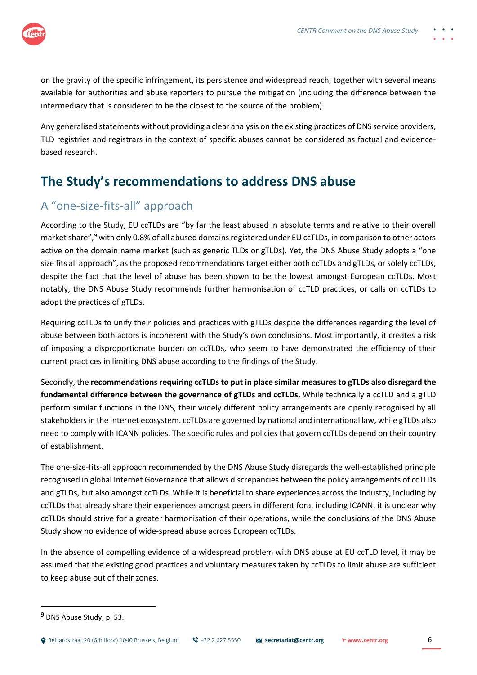

on the gravity of the specific infringement, its persistence and widespread reach, together with several means available for authorities and abuse reporters to pursue the mitigation (including the difference between the intermediary that is considered to be the closest to the source of the problem).

Any generalised statements without providing a clear analysis on the existing practices of DNS service providers, TLD registries and registrars in the context of specific abuses cannot be considered as factual and evidencebased research.

# **The Study's recommendations to address DNS abuse**

### A "one-size-fits-all" approach

According to the Study, EU ccTLDs are "by far the least abused in absolute terms and relative to their overall market share",[9](#page-5-0) with only 0.8% of all abused domains registered under EU ccTLDs, in comparison to other actors active on the domain name market (such as generic TLDs or gTLDs). Yet, the DNS Abuse Study adopts a "one size fits all approach", as the proposed recommendations target either both ccTLDs and gTLDs, or solely ccTLDs, despite the fact that the level of abuse has been shown to be the lowest amongst European ccTLDs. Most notably, the DNS Abuse Study recommends further harmonisation of ccTLD practices, or calls on ccTLDs to adopt the practices of gTLDs.

Requiring ccTLDs to unify their policies and practices with gTLDs despite the differences regarding the level of abuse between both actors is incoherent with the Study's own conclusions. Most importantly, it creates a risk of imposing a disproportionate burden on ccTLDs, who seem to have demonstrated the efficiency of their current practices in limiting DNS abuse according to the findings of the Study.

Secondly, the **recommendations requiring ccTLDs to put in place similar measures to gTLDs also disregard the fundamental difference between the governance of gTLDs and ccTLDs.** While technically a ccTLD and a gTLD perform similar functions in the DNS, their widely different policy arrangements are openly recognised by all stakeholders in the internet ecosystem. ccTLDs are governed by national and international law, while gTLDs also need to comply with ICANN policies. The specific rules and policies that govern ccTLDs depend on their country of establishment.

The one-size-fits-all approach recommended by the DNS Abuse Study disregards the well-established principle recognised in global Internet Governance that allows discrepancies between the policy arrangements of ccTLDs and gTLDs, but also amongst ccTLDs. While it is beneficial to share experiences across the industry, including by ccTLDs that already share their experiences amongst peers in different fora, including ICANN, it is unclear why ccTLDs should strive for a greater harmonisation of their operations, while the conclusions of the DNS Abuse Study show no evidence of wide-spread abuse across European ccTLDs.

In the absence of compelling evidence of a widespread problem with DNS abuse at EU ccTLD level, it may be assumed that the existing good practices and voluntary measures taken by ccTLDs to limit abuse are sufficient to keep abuse out of their zones.

<span id="page-5-0"></span><sup>9</sup> DNS Abuse Study, p. 53.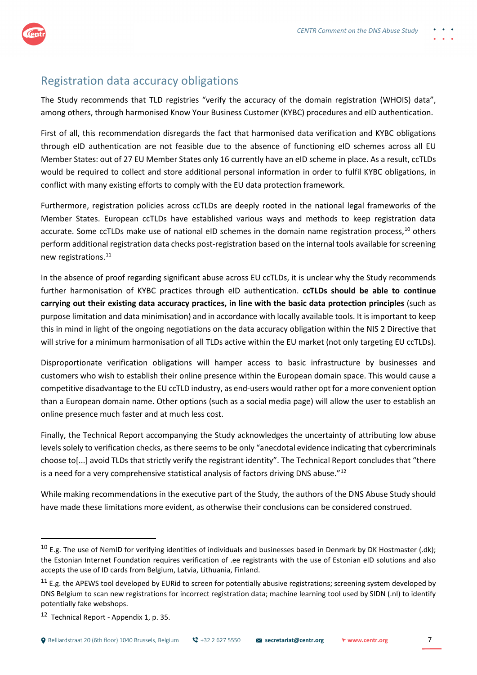

#### Registration data accuracy obligations

The Study recommends that TLD registries "verify the accuracy of the domain registration (WHOIS) data", among others, through harmonised Know Your Business Customer (KYBC) procedures and eID authentication.

First of all, this recommendation disregards the fact that harmonised data verification and KYBC obligations through eID authentication are not feasible due to the absence of functioning eID schemes across all EU Member States: out of 27 EU Member States only 16 currently have an eID scheme in place. As a result, ccTLDs would be required to collect and store additional personal information in order to fulfil KYBC obligations, in conflict with many existing efforts to comply with the EU data protection framework.

Furthermore, registration policies across ccTLDs are deeply rooted in the national legal frameworks of the Member States. European ccTLDs have established various ways and methods to keep registration data accurate. Some ccTLDs make use of national eID schemes in the domain name registration process,<sup>[10](#page-6-0)</sup> others perform additional registration data checks post-registration based on the internal tools available for screening new registrations.[11](#page-6-1)

In the absence of proof regarding significant abuse across EU ccTLDs, it is unclear why the Study recommends further harmonisation of KYBC practices through eID authentication. **ccTLDs should be able to continue carrying out their existing data accuracy practices, in line with the basic data protection principles** (such as purpose limitation and data minimisation) and in accordance with locally available tools. It is important to keep this in mind in light of the ongoing negotiations on the data accuracy obligation within the NIS 2 Directive that will strive for a minimum harmonisation of all TLDs active within the EU market (not only targeting EU ccTLDs).

Disproportionate verification obligations will hamper access to basic infrastructure by businesses and customers who wish to establish their online presence within the European domain space. This would cause a competitive disadvantage to the EU ccTLD industry, as end-users would rather opt for a more convenient option than a European domain name. Other options (such as a social media page) will allow the user to establish an online presence much faster and at much less cost.

Finally, the Technical Report accompanying the Study acknowledges the uncertainty of attributing low abuse levels solely to verification checks, as there seems to be only "anecdotal evidence indicating that cybercriminals choose to[...] avoid TLDs that strictly verify the registrant identity". The Technical Report concludes that "there is a need for a very comprehensive statistical analysis of factors driving DNS abuse."<sup>[12](#page-6-2)</sup>

While making recommendations in the executive part of the Study, the authors of the DNS Abuse Study should have made these limitations more evident, as otherwise their conclusions can be considered construed.

<span id="page-6-0"></span> $10$  E.g. The use of NemID for verifying identities of individuals and businesses based in Denmark by DK Hostmaster (.dk); the Estonian Internet Foundation requires verification of .ee registrants with the use of Estonian eID solutions and also accepts the use of ID cards from Belgium, Latvia, Lithuania, Finland.

<span id="page-6-1"></span> $11$  E.g. the APEWS tool developed by EURid to screen for potentially abusive registrations; screening system developed by DNS Belgium to scan new registrations for incorrect registration data; machine learning tool used by SIDN (.nl) to identify potentially fake webshops.

<span id="page-6-2"></span> $12$  Technical Report - Appendix 1, p. 35.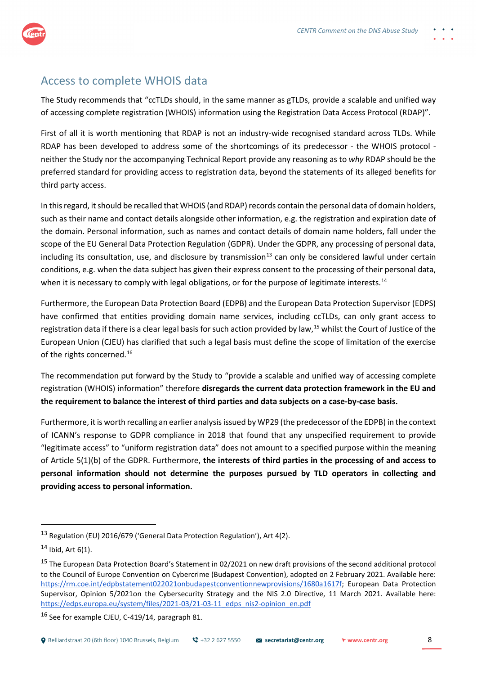

#### Access to complete WHOIS data

The Study recommends that "ccTLDs should, in the same manner as gTLDs, provide a scalable and unified way of accessing complete registration (WHOIS) information using the Registration Data Access Protocol (RDAP)".

First of all it is worth mentioning that RDAP is not an industry-wide recognised standard across TLDs. While RDAP has been developed to address some of the shortcomings of its predecessor - the WHOIS protocol neither the Study nor the accompanying Technical Report provide any reasoning as to *why* RDAP should be the preferred standard for providing access to registration data, beyond the statements of its alleged benefits for third party access.

In this regard, it should be recalled that WHOIS (and RDAP) records contain the personal data of domain holders, such as their name and contact details alongside other information, e.g. the registration and expiration date of the domain. Personal information, such as names and contact details of domain name holders, fall under the scope of the EU General Data Protection Regulation (GDPR). Under the GDPR, any processing of personal data, including its consultation, use, and disclosure by transmission<sup>[13](#page-7-0)</sup> can only be considered lawful under certain conditions, e.g. when the data subject has given their express consent to the processing of their personal data, when it is necessary to comply with legal obligations, or for the purpose of legitimate interests.<sup>[14](#page-7-1)</sup>

Furthermore, the European Data Protection Board (EDPB) and the European Data Protection Supervisor (EDPS) have confirmed that entities providing domain name services, including ccTLDs, can only grant access to registration data if there is a clear legal basis for such action provided by law,<sup>[15](#page-7-2)</sup> whilst the Court of Justice of the European Union (CJEU) has clarified that such a legal basis must define the scope of limitation of the exercise of the rights concerned.<sup>[16](#page-7-3)</sup>

The recommendation put forward by the Study to "provide a scalable and unified way of accessing complete registration (WHOIS) information" therefore **disregards the current data protection framework in the EU and the requirement to balance the interest of third parties and data subjects on a case-by-case basis.**

Furthermore, it is worth recalling an earlier analysis issued by WP29 (the predecessor of the EDPB) in the context of ICANN's response to GDPR compliance in 2018 that found that any unspecified requirement to provide "legitimate access" to "uniform registration data" does not amount to a specified purpose within the meaning of Article 5(1)(b) of the GDPR. Furthermore, **the interests of third parties in the processing of and access to personal information should not determine the purposes pursued by TLD operators in collecting and providing access to personal information.**

<span id="page-7-0"></span><sup>13</sup> Regulation (EU) 2016/679 ('General Data Protection Regulation'), Art 4(2).

<span id="page-7-1"></span> $14$  Ibid, Art  $6(1)$ .

<span id="page-7-2"></span><sup>&</sup>lt;sup>15</sup> The European Data Protection Board's Statement in 02/2021 on new draft provisions of the second additional protocol to the Council of Europe Convention on Cybercrime (Budapest Convention), adopted on 2 February 2021. Available here: [https://rm.coe.int/edpbstatement022021onbudapestconventionnewprovisions/1680a1617f;](https://rm.coe.int/edpbstatement022021onbudapestconventionnewprovisions/1680a1617f) European Data Protection Supervisor, Opinion 5/2021on the Cybersecurity Strategy and the NIS 2.0 Directive, 11 March 2021. Available here: https://edps.europa.eu/system/files/2021-03/21-03-11\_edps\_nis2-opinion\_en.pdf

<span id="page-7-3"></span><sup>16</sup> See for example CJEU, C-419/14, paragraph 81.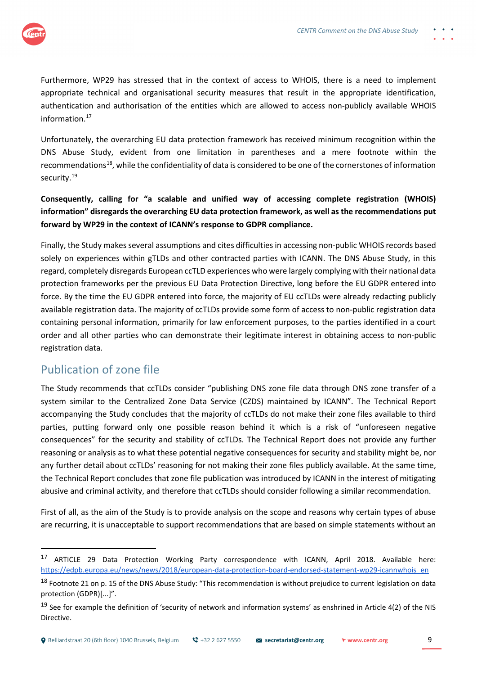

Furthermore, WP29 has stressed that in the context of access to WHOIS, there is a need to implement appropriate technical and organisational security measures that result in the appropriate identification, authentication and authorisation of the entities which are allowed to access non-publicly available WHOIS information[.17](#page-8-0)

Unfortunately, the overarching EU data protection framework has received minimum recognition within the DNS Abuse Study, evident from one limitation in parentheses and a mere footnote within the recommendations<sup>[18](#page-8-1)</sup>, while the confidentiality of data is considered to be one of the cornerstones of information security.<sup>[19](#page-8-2)</sup>

**Consequently, calling for "a scalable and unified way of accessing complete registration (WHOIS) information" disregards the overarching EU data protection framework, as well as the recommendations put forward by WP29 in the context of ICANN's response to GDPR compliance.**

Finally, the Study makes several assumptions and cites difficulties in accessing non-public WHOIS records based solely on experiences within gTLDs and other contracted parties with ICANN. The DNS Abuse Study, in this regard, completely disregards European ccTLD experiences who were largely complying with their national data protection frameworks per the previous EU Data Protection Directive, long before the EU GDPR entered into force. By the time the EU GDPR entered into force, the majority of EU ccTLDs were already redacting publicly available registration data. The majority of ccTLDs provide some form of access to non-public registration data containing personal information, primarily for law enforcement purposes, to the parties identified in a court order and all other parties who can demonstrate their legitimate interest in obtaining access to non-public registration data.

### Publication of zone file

The Study recommends that ccTLDs consider "publishing DNS zone file data through DNS zone transfer of a system similar to the Centralized Zone Data Service (CZDS) maintained by ICANN". The Technical Report accompanying the Study concludes that the majority of ccTLDs do not make their zone files available to third parties, putting forward only one possible reason behind it which is a risk of "unforeseen negative consequences" for the security and stability of ccTLDs. The Technical Report does not provide any further reasoning or analysis as to what these potential negative consequences for security and stability might be, nor any further detail about ccTLDs' reasoning for not making their zone files publicly available. At the same time, the Technical Report concludes that zone file publication was introduced by ICANN in the interest of mitigating abusive and criminal activity, and therefore that ccTLDs should consider following a similar recommendation.

First of all, as the aim of the Study is to provide analysis on the scope and reasons why certain types of abuse are recurring, it is unacceptable to support recommendations that are based on simple statements without an

<span id="page-8-0"></span><sup>17</sup> ARTICLE 29 Data Protection Working Party correspondence with ICANN, April 2018. Available here: https://edpb.europa.eu/news/news/2018/european-data-protection-board-endorsed-statement-wp29-icannwhois\_en

<span id="page-8-1"></span><sup>&</sup>lt;sup>18</sup> Footnote 21 on p. 15 of the DNS Abuse Study: "This recommendation is without prejudice to current legislation on data protection (GDPR)[...]".

<span id="page-8-2"></span> $19$  See for example the definition of 'security of network and information systems' as enshrined in Article 4(2) of the NIS Directive.